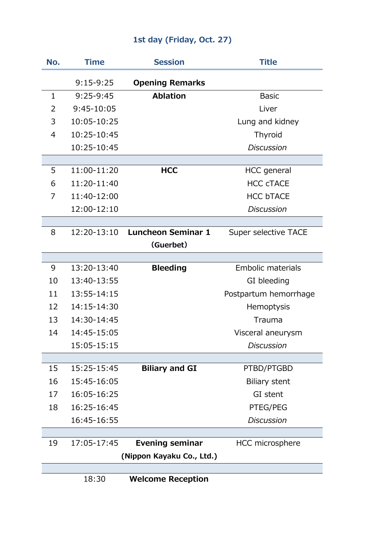## **1st day (Friday, Oct. 27)**

| No.                       | Time        | <b>Session</b>                 | <b>Title</b>          |  |  |
|---------------------------|-------------|--------------------------------|-----------------------|--|--|
|                           | $9:15-9:25$ | <b>Opening Remarks</b>         |                       |  |  |
| $\mathbf{1}$              | $9:25-9:45$ | <b>Ablation</b>                | <b>Basic</b>          |  |  |
| 2                         | 9:45-10:05  |                                | Liver                 |  |  |
| 3                         | 10:05-10:25 |                                | Lung and kidney       |  |  |
| $\overline{4}$            | 10:25-10:45 |                                | Thyroid               |  |  |
|                           | 10:25-10:45 |                                | <b>Discussion</b>     |  |  |
|                           |             |                                |                       |  |  |
| 5                         | 11:00-11:20 | <b>HCC</b>                     | <b>HCC</b> general    |  |  |
| 6                         | 11:20-11:40 |                                | <b>HCC CTACE</b>      |  |  |
| 7                         | 11:40-12:00 |                                | <b>HCC bTACE</b>      |  |  |
|                           | 12:00-12:10 |                                | <b>Discussion</b>     |  |  |
|                           |             |                                |                       |  |  |
| 8                         |             | 12:20-13:10 Luncheon Seminar 1 | Super selective TACE  |  |  |
|                           |             | (Guerbet)                      |                       |  |  |
| 9                         | 13:20-13:40 | <b>Bleeding</b>                | Embolic materials     |  |  |
| 10                        | 13:40-13:55 |                                | GI bleeding           |  |  |
| 11                        | 13:55-14:15 |                                | Postpartum hemorrhage |  |  |
| 12                        | 14:15-14:30 |                                | Hemoptysis            |  |  |
| 13                        | 14:30-14:45 |                                | Trauma                |  |  |
| 14                        | 14:45-15:05 |                                | Visceral aneurysm     |  |  |
|                           | 15:05-15:15 |                                | <b>Discussion</b>     |  |  |
|                           |             |                                |                       |  |  |
| 15                        | 15:25-15:45 | <b>Biliary and GI</b>          | PTBD/PTGBD            |  |  |
| 16                        | 15:45-16:05 |                                | <b>Biliary stent</b>  |  |  |
| 17                        | 16:05-16:25 |                                | GI stent              |  |  |
| 18                        | 16:25-16:45 |                                | PTEG/PEG              |  |  |
|                           | 16:45-16:55 |                                | <b>Discussion</b>     |  |  |
|                           |             |                                |                       |  |  |
| 19                        | 17:05-17:45 | <b>Evening seminar</b>         | HCC microsphere       |  |  |
| (Nippon Kayaku Co., Ltd.) |             |                                |                       |  |  |
|                           | 18:30       | <b>Welcome Reception</b>       |                       |  |  |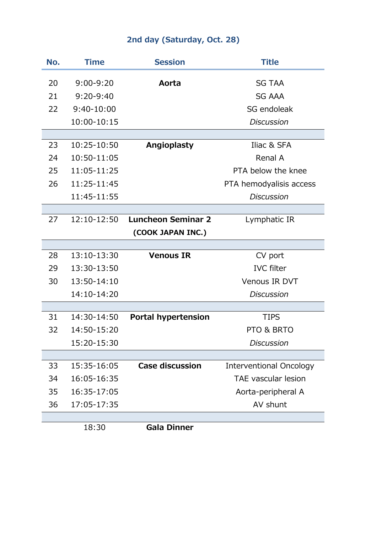## **2nd day (Saturday, Oct. 28)**

| No. | <b>Time</b>   | <b>Session</b>             | <b>Title</b>                   |
|-----|---------------|----------------------------|--------------------------------|
| 20  | $9:00 - 9:20$ | Aorta                      | <b>SG TAA</b>                  |
| 21  | $9:20-9:40$   |                            | <b>SG AAA</b>                  |
| 22  | 9:40-10:00    |                            | SG endoleak                    |
|     | 10:00-10:15   |                            | <b>Discussion</b>              |
|     |               |                            |                                |
| 23  | 10:25-10:50   | Angioplasty                | Iliac & SFA                    |
| 24  | 10:50-11:05   |                            | Renal A                        |
| 25  | 11:05-11:25   |                            | PTA below the knee             |
| 26  | 11:25-11:45   |                            | PTA hemodyalisis access        |
|     | 11:45-11:55   |                            | <b>Discussion</b>              |
|     |               |                            |                                |
| 27  | 12:10-12:50   | <b>Luncheon Seminar 2</b>  | Lymphatic IR                   |
|     |               | (COOK JAPAN INC.)          |                                |
|     |               |                            |                                |
| 28  | 13:10-13:30   | <b>Venous IR</b>           | CV port                        |
| 29  | 13:30-13:50   |                            | <b>IVC</b> filter              |
| 30  | 13:50-14:10   |                            | Venous IR DVT                  |
|     | 14:10-14:20   |                            | <b>Discussion</b>              |
|     |               |                            |                                |
| 31  | 14:30-14:50   | <b>Portal hypertension</b> | <b>TIPS</b>                    |
| 32  | 14:50-15:20   |                            | PTO & BRTO                     |
|     | 15:20-15:30   |                            | Discussion                     |
|     |               |                            |                                |
| 33  | 15:35-16:05   | <b>Case discussion</b>     | <b>Interventional Oncology</b> |
| 34  | 16:05-16:35   |                            | <b>TAE</b> vascular lesion     |
| 35  | 16:35-17:05   |                            | Aorta-peripheral A             |
| 36  | 17:05-17:35   |                            | AV shunt                       |
|     |               |                            |                                |

18:30 **Gala Dinner**